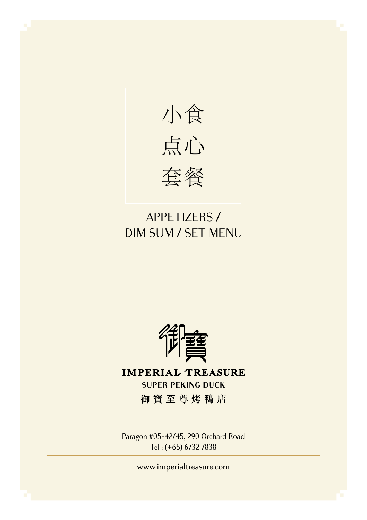

## APPETIZERS / DIM SUM / SET MENU



**IMPERIAL TREASURE SUPER PEKING DUCK** 御寶至尊烤鴨店

Paragon #05-42/45, 290 Orchard Road Tel : (+65) 6732 7838

www.imperialtreasure.com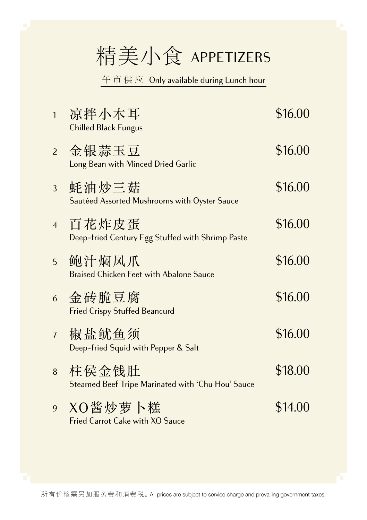# 精美小食 APPETIZERS

午 市 供 应 Only available during Lunch hour

| $\overline{1}$ | 凉拌小木耳<br><b>Chilled Black Fungus</b>                       | \$16.00 |
|----------------|------------------------------------------------------------|---------|
| $\overline{2}$ | 金银蒜玉豆<br>Long Bean with Minced Dried Garlic                | \$16.00 |
| 3              | 蚝油炒三菇<br>Sautéed Assorted Mushrooms with Oyster Sauce      | \$16.00 |
| $\overline{4}$ | 百花炸皮蛋<br>Deep-fried Century Egg Stuffed with Shrimp Paste  | \$16.00 |
| 5              | 鲍汁焖凤爪<br><b>Braised Chicken Feet with Abalone Sauce</b>    | \$16.00 |
| 6              | 金砖脆豆腐<br><b>Fried Crispy Stuffed Beancurd</b>              | \$16.00 |
| $\overline{7}$ | 椒盐鱿鱼须<br>Deep-fried Squid with Pepper & Salt               | \$16.00 |
| 8              | 柱侯金钱肚<br>Steamed Beef Tripe Marinated with 'Chu Hou' Sauce | \$18.00 |
| 9              | XO酱炒萝卜糕<br><b>Fried Carrot Cake with XO Sauce</b>          | \$14.00 |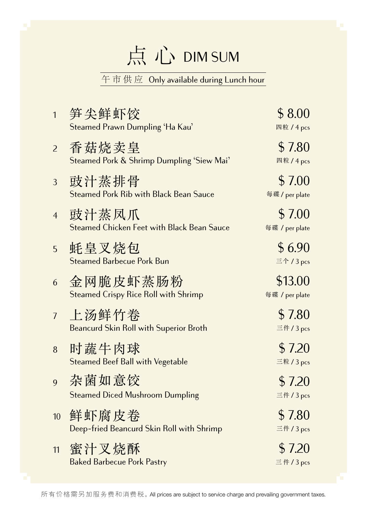# 点 心 DIM SUM

#### 午市供应 Only available during Lunch hour

| $\mathbf{1}$     | 笋尖鲜虾饺<br>Steamed Prawn Dumpling 'Ha Kau'                   | \$8.00<br>四粒 / 4 pcs         |
|------------------|------------------------------------------------------------|------------------------------|
| $\overline{2}$   | 香菇烧卖皇<br>Steamed Pork & Shrimp Dumpling 'Siew Mai'         | \$7.80<br>四粒/4 pcs           |
| 3                | 豉汁蒸排骨<br><b>Steamed Pork Rib with Black Bean Sauce</b>     | \$7.00<br>每碟 / per plate     |
| $\overline{4}$   | 豉汁蒸凤爪<br><b>Steamed Chicken Feet with Black Bean Sauce</b> | \$7.00<br>每碟 / per plate     |
| 5                | 蚝皇叉烧包<br><b>Steamed Barbecue Pork Bun</b>                  | \$6.90<br>三个 / 3 pcs         |
| 6                | 金网脆皮虾蒸肠粉<br><b>Steamed Crispy Rice Roll with Shrimp</b>    | \$13.00<br>每碟 / per plate    |
| $\overline{1}$   | 上汤鲜竹卷<br><b>Beancurd Skin Roll with Superior Broth</b>     | \$7.80<br>三件/3 pcs           |
| 8                | 时蔬牛肉球<br><b>Steamed Beef Ball with Vegetable</b>           | \$7.20<br>三粒 / 3 pcs         |
| 9                | 杂菌如意饺<br><b>Steamed Diced Mushroom Dumpling</b>            | \$7.20<br>三件 / 3 pcs         |
| 10 <sup>10</sup> | 鲜虾腐皮卷<br>Deep-fried Beancurd Skin Roll with Shrimp         | \$7.80<br>三件 / 3 pcs         |
| 11               | 蜜汁叉烧酥<br><b>Baked Barbecue Pork Pastry</b>                 | \$7.20<br>$\equiv$ 件 / 3 pcs |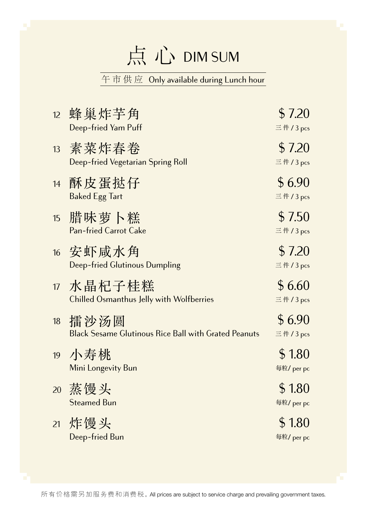# 点 心 DIM SUM

#### 午市供应 Only available during Lunch hour

| 12 | 蜂巢炸芋角<br>Deep-fried Yam Puff                                        | \$7.20<br>$\equiv$ 件 / 3 pcs |
|----|---------------------------------------------------------------------|------------------------------|
| 13 | 素菜炸春卷<br>Deep-fried Vegetarian Spring Roll                          | \$7.20<br>$\equiv$ 件 / 3 pcs |
| 14 | 酥皮蛋挞仔<br><b>Baked Egg Tart</b>                                      | \$6.90<br>$\equiv$ 件 / 3 pcs |
| 15 | 腊味萝卜糕<br><b>Pan-fried Carrot Cake</b>                               | \$7.50<br>$\equiv$ 件 / 3 pcs |
| 16 | 安虾咸水角<br><b>Deep-fried Glutinous Dumpling</b>                       | \$7.20<br>$\equiv$ 件 / 3 pcs |
| 17 | 水晶杞子桂糕<br><b>Chilled Osmanthus Jelly with Wolfberries</b>           | \$6.60<br>三件/ $3$ pcs        |
| 18 | 擂沙汤圆<br><b>Black Sesame Glutinous Rice Ball with Grated Peanuts</b> | \$6.90<br>$\equiv$ 件 / 3 pcs |
| 19 | 小寿桃<br>Mini Longevity Bun                                           | \$1.80<br>每粒/ per pc         |
| 20 | 蒸馒头<br><b>Steamed Bun</b>                                           | \$1.80<br>每粒/ per pc         |
| 21 | 炸馒头<br>Deep-fried Bun                                               | \$1.80<br>每粒/ per pc         |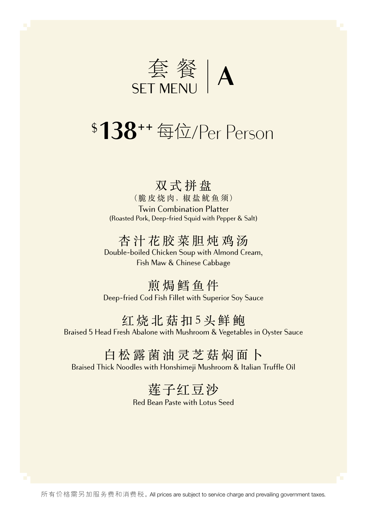

## \$ **138**++ 每位/Per Person

### 双式拼盘

(脆皮烧肉, 椒盐鱿鱼须) Twin Combination Platter (Roasted Pork, Deep-fried Squid with Pepper & Salt)

### 杏汁花胶菜胆炖鸡汤

Double-boiled Chicken Soup with Almond Cream, Fish Maw & Chinese Cabbage

煎焗鳕鱼件 Deep-fried Cod Fish Fillet with Superior Soy Sauce

#### 红烧北菇扣5头鲜鲍

Braised 5 Head Fresh Abalone with Mushroom & Vegetables in Oyster Sauce

### 白松露菌油灵芝菇焖面卜

Braised Thick Noodles with Honshimeji Mushroom & Italian Truffle Oil

## 莲子红豆沙

Red Bean Paste with Lotus Seed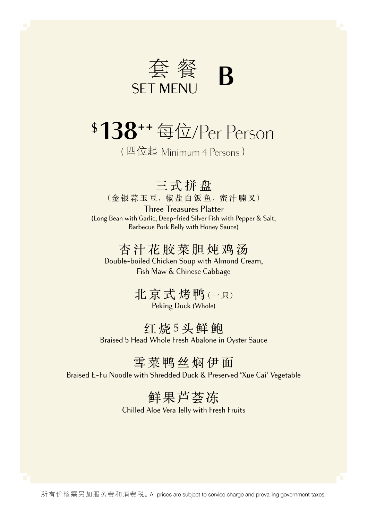

## \$ **138**++ 每位/Per Person

( 四位起 Minimum 4 Persons )

三式拼盘

(金银蒜玉豆, 椒盐白饭鱼, 蜜汁腩叉)

Three Treasures Platter (Long Bean with Garlic, Deep-fried Silver Fish with Pepper & Salt, Barbecue Pork Belly with Honey Sauce)

### 杏汁花胶菜胆炖鸡汤

Double-boiled Chicken Soup with Almond Cream, Fish Maw & Chinese Cabbage

> 北京式烤鸭 (一只) Peking Duck (Whole)

红烧5头鲜鲍 Braised 5 Head Whole Fresh Abalone in Oyster Sauce

### 雪菜鸭丝焖伊面

Braised E-Fu Noodle with Shredded Duck & Preserved 'Xue Cai' Vegetable

## 鲜果芦荟冻

Chilled Aloe Vera Jelly with Fresh Fruits

所有价格需另加服务费和消费税。All prices are subject to service charge and prevailing government taxes.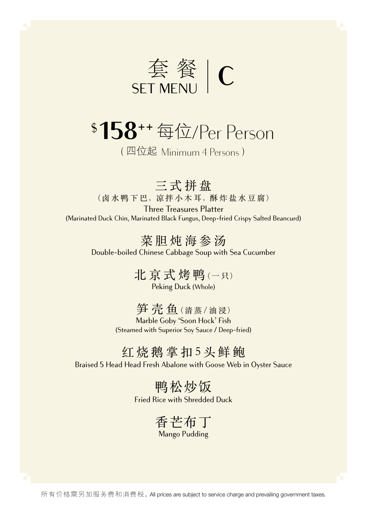

# \$ **158**++ 每位/Per Person

( 四位起 Minimum 4 Persons )

三式拼盘 (卤水鸭下巴, 凉拌小木耳, 酥炸盐水豆腐)

Three Treasures Platter (Marinated Duck Chin, Marinated Black Fungus, Deep-fried Crispy Salted Beancurd)

> 菜胆炖海参汤 Double-boiled Chinese Cabbage Soup with Sea Cucumber

> > 北京式烤鸭 (一只) Peking Duck (Whole)

笋壳鱼 (清蒸/油浸)

Marble Goby 'Soon Hock' Fish (Steamed with Superior Soy Sauce / Deep-fried)

### 红烧鹅掌扣5头鲜鲍

Braised 5 Head Head Fresh Abalone with Goose Web in Oyster Sauce

鸭松炒饭 Fried Rice with Shredded Duck

> 香芒布丁 Mango Pudding